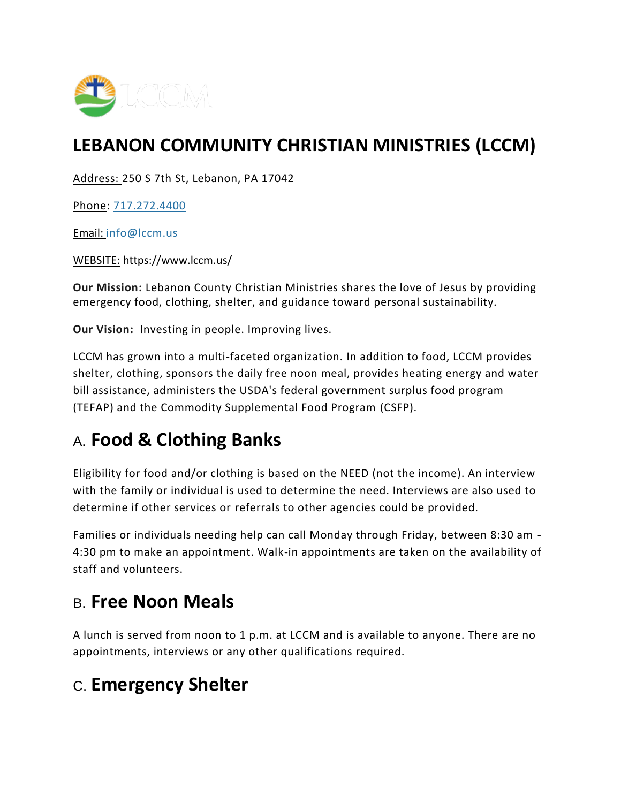

## **LEBANON COMMUNITY CHRISTIAN MINISTRIES (LCCM)**

Address: 250 S 7th St, Lebanon, PA 17042

Phone: [717.272.4400](tel:7172724400)

Email: [info@lccm.us](mailto:info@lccm.us)

WEBSITE: https://www.lccm.us/

**Our Mission:** Lebanon County Christian Ministries shares the love of Jesus by providing emergency food, clothing, shelter, and guidance toward personal sustainability.

**Our Vision:** Investing in people. Improving lives.

LCCM has grown into a multi-faceted organization. In addition to food, LCCM provides shelter, clothing, sponsors the daily free noon meal, provides heating energy and water bill assistance, administers the USDA's federal government surplus food program (TEFAP) and the Commodity Supplemental Food Program (CSFP).

## A. **Food & Clothing Banks**

Eligibility for food and/or clothing is based on the NEED (not the income). An interview with the family or individual is used to determine the need. Interviews are also used to determine if other services or referrals to other agencies could be provided.

Families or individuals needing help can call Monday through Friday, between 8:30 am - 4:30 pm to make an appointment. Walk-in appointments are taken on the availability of staff and volunteers.

## B. **Free Noon Meals**

A lunch is served from noon to 1 p.m. at LCCM and is available to anyone. There are no appointments, interviews or any other qualifications required.

## C. **Emergency Shelter**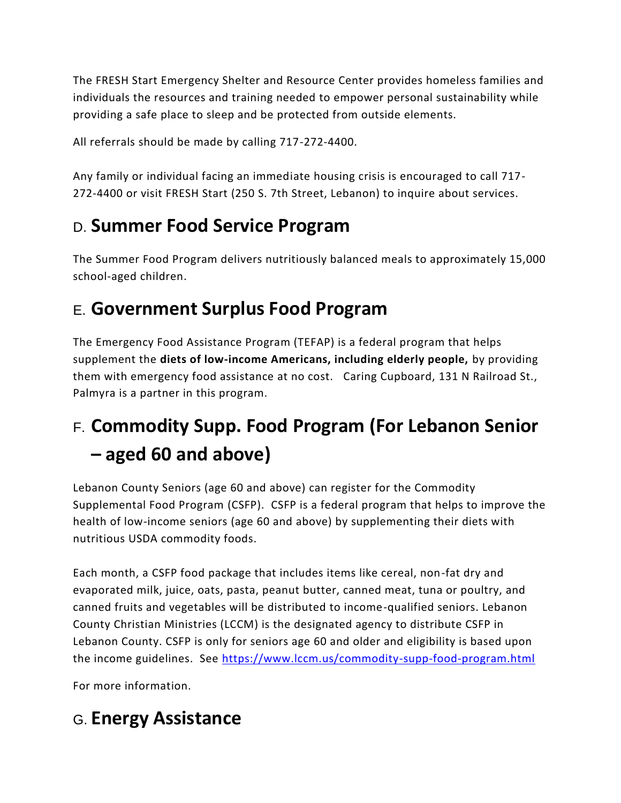The FRESH Start Emergency Shelter and Resource Center provides homeless families and individuals the resources and training needed to empower personal sustainability while providing a safe place to sleep and be protected from outside elements.

All referrals should be made by calling 717-272-4400.

Any family or individual facing an immediate housing crisis is encouraged to call 717- 272-4400 or visit FRESH Start (250 S. 7th Street, Lebanon) to inquire about services.

## D. **Summer Food Service Program**

The Summer Food Program delivers nutritiously balanced meals to approximately 15,000 school-aged children.

## E. **Government Surplus Food Program**

The Emergency Food Assistance Program (TEFAP) is a federal program that helps supplement the **diets of low-income Americans, including elderly people,** by providing them with emergency food assistance at no cost. Caring Cupboard, 131 N Railroad St., Palmyra is a partner in this program.

# F. **Commodity Supp. Food Program (For Lebanon Senior – aged 60 and above)**

Lebanon County Seniors (age 60 and above) can register for the Commodity Supplemental Food Program (CSFP). CSFP is a federal program that helps to improve the health of low-income seniors (age 60 and above) by supplementing their diets with nutritious USDA commodity foods.

Each month, a CSFP food package that includes items like cereal, non-fat dry and evaporated milk, juice, oats, pasta, peanut butter, canned meat, tuna or poultry, and canned fruits and vegetables will be distributed to income-qualified seniors. Lebanon County Christian Ministries (LCCM) is the designated agency to distribute CSFP in Lebanon County. CSFP is only for seniors age 60 and older and eligibility is based upon the income guidelines. See<https://www.lccm.us/commodity-supp-food-program.html>

For more information.

## G. **Energy Assistance**